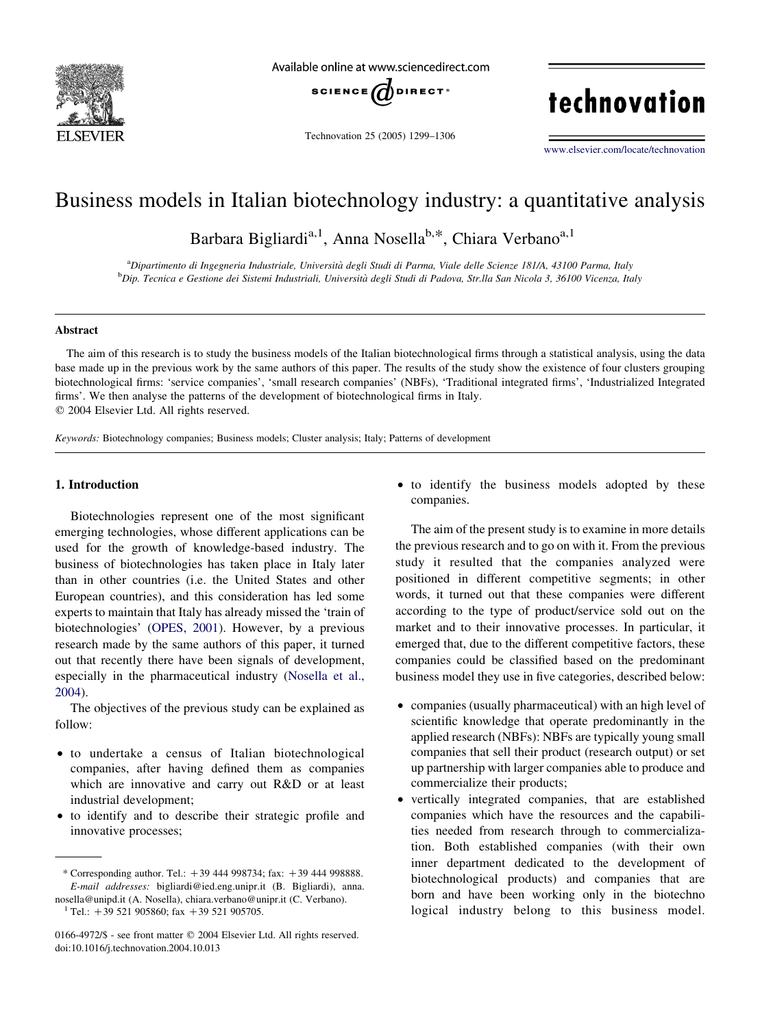

Available online at www.sciencedirect.com



Technovation 25 (2005) 1299–1306

# technovation

[www.elsevier.com/locate/technovation](http://www.elsevier.com/locate/technovation)

### Business models in Italian biotechnology industry: a quantitative analysis

Barbara Bigliardi<sup>a, 1</sup>, Anna Nosella<sup>b,\*</sup>, Chiara Verbano<sup>a, 1</sup>

a Dipartimento di Ingegneria Industriale, Universita` degli Studi di Parma, Viale delle Scienze 181/A, 43100 Parma, Italy <sup>b</sup>Dip. Tecnica e Gestione dei Sistemi Industriali, Università degli Studi di Padova, Str.lla San Nicola 3, 36100 Vicenza, Italy

#### **Abstract**

The aim of this research is to study the business models of the Italian biotechnological firms through a statistical analysis, using the data base made up in the previous work by the same authors of this paper. The results of the study show the existence of four clusters grouping biotechnological firms: 'service companies', 'small research companies' (NBFs), 'Traditional integrated firms', 'Industrialized Integrated firms'. We then analyse the patterns of the development of biotechnological firms in Italy.  $Q$  2004 Elsevier Ltd. All rights reserved.

Keywords: Biotechnology companies; Business models; Cluster analysis; Italy; Patterns of development

#### 1. Introduction

Biotechnologies represent one of the most significant emerging technologies, whose different applications can be used for the growth of knowledge-based industry. The business of biotechnologies has taken place in Italy later than in other countries (i.e. the United States and other European countries), and this consideration has led some experts to maintain that Italy has already missed the 'train of biotechnologies' [\(OPES, 2001\)](#page--1-0). However, by a previous research made by the same authors of this paper, it turned out that recently there have been signals of development, especially in the pharmaceutical industry ([Nosella et al.,](#page--1-0) [2004](#page--1-0)).

The objectives of the previous study can be explained as follow:

- to undertake a census of Italian biotechnological companies, after having defined them as companies which are innovative and carry out R&D or at least industrial development;
- to identify and to describe their strategic profile and innovative processes;

• to identify the business models adopted by these companies.

The aim of the present study is to examine in more details the previous research and to go on with it. From the previous study it resulted that the companies analyzed were positioned in different competitive segments; in other words, it turned out that these companies were different according to the type of product/service sold out on the market and to their innovative processes. In particular, it emerged that, due to the different competitive factors, these companies could be classified based on the predominant business model they use in five categories, described below:

- companies (usually pharmaceutical) with an high level of scientific knowledge that operate predominantly in the applied research (NBFs): NBFs are typically young small companies that sell their product (research output) or set up partnership with larger companies able to produce and commercialize their products;
- † vertically integrated companies, that are established companies which have the resources and the capabilities needed from research through to commercialization. Both established companies (with their own inner department dedicated to the development of biotechnological products) and companies that are born and have been working only in the biotechno logical industry belong to this business model.

<sup>\*</sup> Corresponding author. Tel.:  $+39$  444 998734; fax:  $+39$  444 998888. E-mail addresses: bigliardi@ied.eng.unipr.it (B. Bigliardi), anna. nosella@unipd.it (A. Nosella), chiara.verbano@unipr.it (C. Verbano). Tel.:  $+39$  521 905860; fax  $+39$  521 905705.

<sup>0166-4972/\$ -</sup> see front matter © 2004 Elsevier Ltd. All rights reserved. doi:10.1016/j.technovation.2004.10.013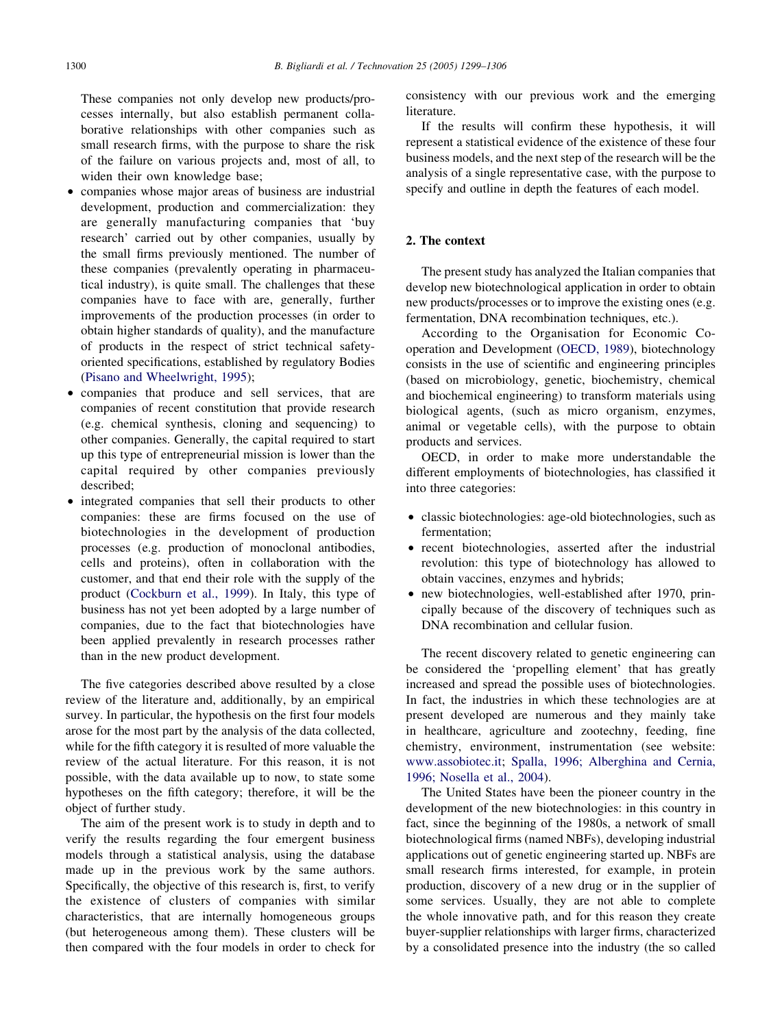These companies not only develop new products/processes internally, but also establish permanent collaborative relationships with other companies such as small research firms, with the purpose to share the risk of the failure on various projects and, most of all, to widen their own knowledge base;

- companies whose major areas of business are industrial development, production and commercialization: they are generally manufacturing companies that 'buy research' carried out by other companies, usually by the small firms previously mentioned. The number of these companies (prevalently operating in pharmaceutical industry), is quite small. The challenges that these companies have to face with are, generally, further improvements of the production processes (in order to obtain higher standards of quality), and the manufacture of products in the respect of strict technical safetyoriented specifications, established by regulatory Bodies ([Pisano and Wheelwright, 1995\)](#page--1-0);
- companies that produce and sell services, that are companies of recent constitution that provide research (e.g. chemical synthesis, cloning and sequencing) to other companies. Generally, the capital required to start up this type of entrepreneurial mission is lower than the capital required by other companies previously described;
- † integrated companies that sell their products to other companies: these are firms focused on the use of biotechnologies in the development of production processes (e.g. production of monoclonal antibodies, cells and proteins), often in collaboration with the customer, and that end their role with the supply of the product ([Cockburn et al., 1999\)](#page--1-0). In Italy, this type of business has not yet been adopted by a large number of companies, due to the fact that biotechnologies have been applied prevalently in research processes rather than in the new product development.

The five categories described above resulted by a close review of the literature and, additionally, by an empirical survey. In particular, the hypothesis on the first four models arose for the most part by the analysis of the data collected, while for the fifth category it is resulted of more valuable the review of the actual literature. For this reason, it is not possible, with the data available up to now, to state some hypotheses on the fifth category; therefore, it will be the object of further study.

The aim of the present work is to study in depth and to verify the results regarding the four emergent business models through a statistical analysis, using the database made up in the previous work by the same authors. Specifically, the objective of this research is, first, to verify the existence of clusters of companies with similar characteristics, that are internally homogeneous groups (but heterogeneous among them). These clusters will be then compared with the four models in order to check for consistency with our previous work and the emerging literature.

If the results will confirm these hypothesis, it will represent a statistical evidence of the existence of these four business models, and the next step of the research will be the analysis of a single representative case, with the purpose to specify and outline in depth the features of each model.

#### 2. The context

The present study has analyzed the Italian companies that develop new biotechnological application in order to obtain new products/processes or to improve the existing ones (e.g. fermentation, DNA recombination techniques, etc.).

According to the Organisation for Economic Cooperation and Development [\(OECD, 1989](#page--1-0)), biotechnology consists in the use of scientific and engineering principles (based on microbiology, genetic, biochemistry, chemical and biochemical engineering) to transform materials using biological agents, (such as micro organism, enzymes, animal or vegetable cells), with the purpose to obtain products and services.

OECD, in order to make more understandable the different employments of biotechnologies, has classified it into three categories:

- † classic biotechnologies: age-old biotechnologies, such as fermentation;
- recent biotechnologies, asserted after the industrial revolution: this type of biotechnology has allowed to obtain vaccines, enzymes and hybrids;
- new biotechnologies, well-established after 1970, principally because of the discovery of techniques such as DNA recombination and cellular fusion.

The recent discovery related to genetic engineering can be considered the 'propelling element' that has greatly increased and spread the possible uses of biotechnologies. In fact, the industries in which these technologies are at present developed are numerous and they mainly take in healthcare, agriculture and zootechny, feeding, fine chemistry, environment, instrumentation (see website: [www.assobiotec.it](http://www.assobiotec.it); [Spalla, 1996; Alberghina and Cernia,](#page--1-0) [1996; Nosella et al., 2004](#page--1-0)).

The United States have been the pioneer country in the development of the new biotechnologies: in this country in fact, since the beginning of the 1980s, a network of small biotechnological firms (named NBFs), developing industrial applications out of genetic engineering started up. NBFs are small research firms interested, for example, in protein production, discovery of a new drug or in the supplier of some services. Usually, they are not able to complete the whole innovative path, and for this reason they create buyer-supplier relationships with larger firms, characterized by a consolidated presence into the industry (the so called